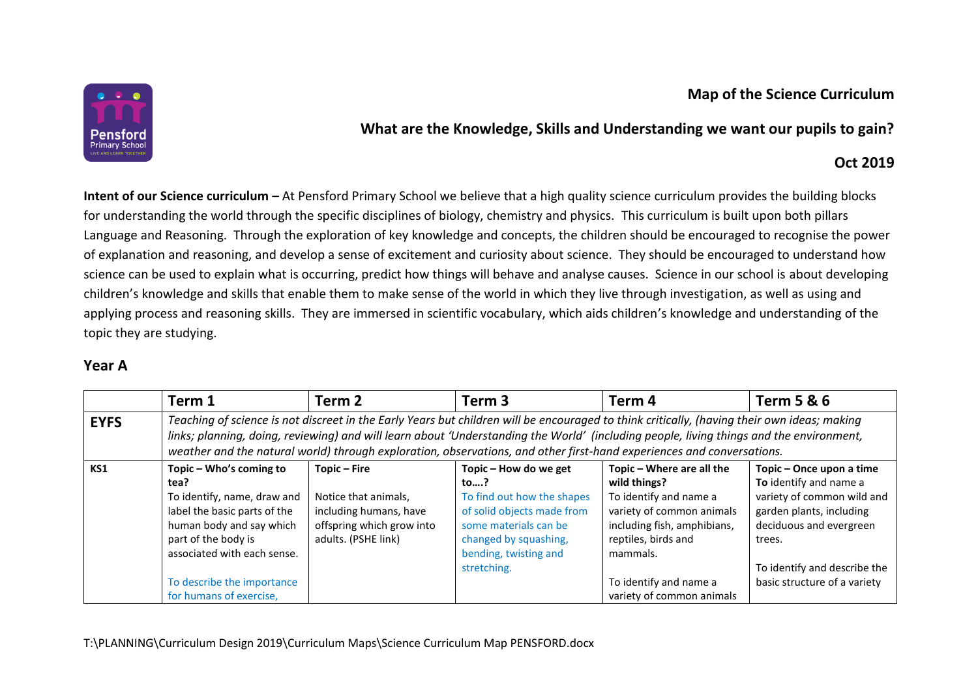## **Map of the Science Curriculum**



# **What are the Knowledge, Skills and Understanding we want our pupils to gain?**

## **Oct 2019**

**Intent of our Science curriculum –** At Pensford Primary School we believe that a high quality science curriculum provides the building blocks for understanding the world through the specific disciplines of biology, chemistry and physics. This curriculum is built upon both pillars Language and Reasoning. Through the exploration of key knowledge and concepts, the children should be encouraged to recognise the power of explanation and reasoning, and develop a sense of excitement and curiosity about science. They should be encouraged to understand how science can be used to explain what is occurring, predict how things will behave and analyse causes. Science in our school is about developing children's knowledge and skills that enable them to make sense of the world in which they live through investigation, as well as using and applying process and reasoning skills. They are immersed in scientific vocabulary, which aids children's knowledge and understanding of the topic they are studying.

#### **Year A**

|             | Term 1                                                                                                                                                                                                                                                                                                                                                                                                          | Term <sub>2</sub>                                                                                                  | Term <sub>3</sub>                                                                                                                                                                  | Term <sub>4</sub>                                                                                                                                                                                                         | <b>Term 5 &amp; 6</b>                                                                                                                                                                                             |  |
|-------------|-----------------------------------------------------------------------------------------------------------------------------------------------------------------------------------------------------------------------------------------------------------------------------------------------------------------------------------------------------------------------------------------------------------------|--------------------------------------------------------------------------------------------------------------------|------------------------------------------------------------------------------------------------------------------------------------------------------------------------------------|---------------------------------------------------------------------------------------------------------------------------------------------------------------------------------------------------------------------------|-------------------------------------------------------------------------------------------------------------------------------------------------------------------------------------------------------------------|--|
| <b>EYFS</b> | Teaching of science is not discreet in the Early Years but children will be encouraged to think critically, (having their own ideas; making<br>links; planning, doing, reviewing) and will learn about 'Understanding the World' (including people, living things and the environment,<br>weather and the natural world) through exploration, observations, and other first-hand experiences and conversations. |                                                                                                                    |                                                                                                                                                                                    |                                                                                                                                                                                                                           |                                                                                                                                                                                                                   |  |
| KS1         | Topic - Who's coming to<br>tea?<br>To identify, name, draw and<br>label the basic parts of the<br>human body and say which<br>part of the body is<br>associated with each sense.<br>To describe the importance<br>for humans of exercise,                                                                                                                                                                       | Topic - Fire<br>Notice that animals,<br>including humans, have<br>offspring which grow into<br>adults. (PSHE link) | Topic - How do we get<br>to?<br>To find out how the shapes<br>of solid objects made from<br>some materials can be<br>changed by squashing,<br>bending, twisting and<br>stretching. | Topic - Where are all the<br>wild things?<br>To identify and name a<br>variety of common animals<br>including fish, amphibians,<br>reptiles, birds and<br>mammals.<br>To identify and name a<br>variety of common animals | Topic - Once upon a time<br>To identify and name a<br>variety of common wild and<br>garden plants, including<br>deciduous and evergreen<br>trees.<br>To identify and describe the<br>basic structure of a variety |  |

T:\PLANNING\Curriculum Design 2019\Curriculum Maps\Science Curriculum Map PENSFORD.docx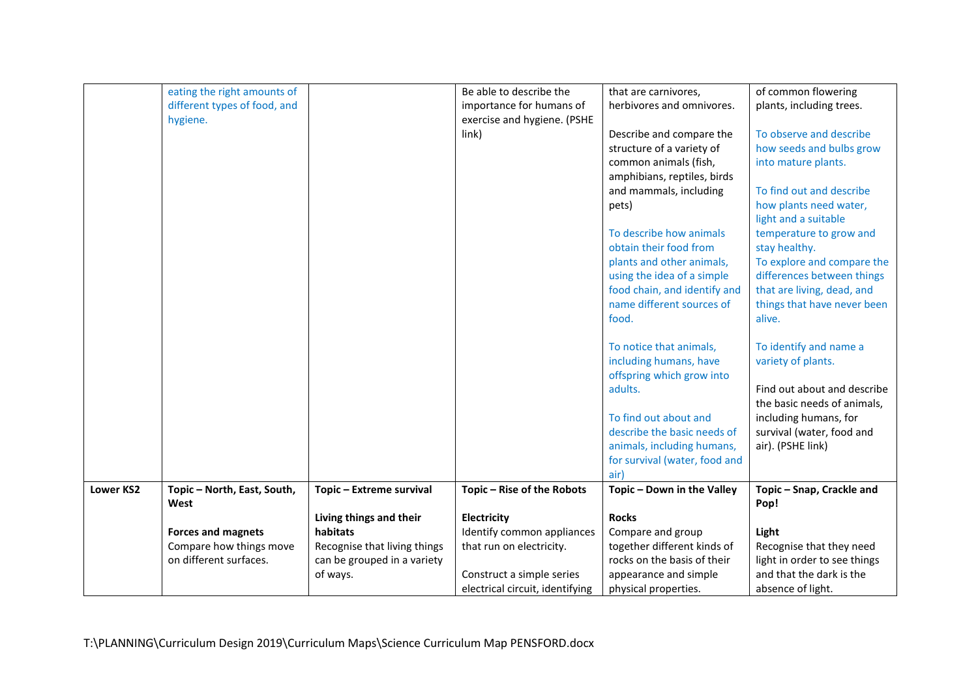|                  | eating the right amounts of  |                              | Be able to describe the         | that are carnivores,          | of common flowering          |
|------------------|------------------------------|------------------------------|---------------------------------|-------------------------------|------------------------------|
|                  | different types of food, and |                              | importance for humans of        | herbivores and omnivores.     | plants, including trees.     |
|                  | hygiene.                     |                              | exercise and hygiene. (PSHE     |                               |                              |
|                  |                              |                              | link)                           | Describe and compare the      | To observe and describe      |
|                  |                              |                              |                                 | structure of a variety of     | how seeds and bulbs grow     |
|                  |                              |                              |                                 | common animals (fish,         | into mature plants.          |
|                  |                              |                              |                                 | amphibians, reptiles, birds   |                              |
|                  |                              |                              |                                 | and mammals, including        | To find out and describe     |
|                  |                              |                              |                                 | pets)                         | how plants need water,       |
|                  |                              |                              |                                 |                               | light and a suitable         |
|                  |                              |                              |                                 | To describe how animals       | temperature to grow and      |
|                  |                              |                              |                                 | obtain their food from        | stay healthy.                |
|                  |                              |                              |                                 | plants and other animals,     | To explore and compare the   |
|                  |                              |                              |                                 | using the idea of a simple    | differences between things   |
|                  |                              |                              |                                 | food chain, and identify and  | that are living, dead, and   |
|                  |                              |                              |                                 | name different sources of     | things that have never been  |
|                  |                              |                              |                                 | food.                         | alive.                       |
|                  |                              |                              |                                 | To notice that animals,       | To identify and name a       |
|                  |                              |                              |                                 | including humans, have        | variety of plants.           |
|                  |                              |                              |                                 | offspring which grow into     |                              |
|                  |                              |                              |                                 | adults.                       | Find out about and describe  |
|                  |                              |                              |                                 |                               | the basic needs of animals,  |
|                  |                              |                              |                                 | To find out about and         | including humans, for        |
|                  |                              |                              |                                 | describe the basic needs of   | survival (water, food and    |
|                  |                              |                              |                                 | animals, including humans,    | air). (PSHE link)            |
|                  |                              |                              |                                 | for survival (water, food and |                              |
|                  |                              |                              |                                 | air)                          |                              |
| <b>Lower KS2</b> | Topic - North, East, South,  | Topic - Extreme survival     | Topic - Rise of the Robots      | Topic - Down in the Valley    | Topic - Snap, Crackle and    |
|                  | West                         |                              |                                 |                               | Pop!                         |
|                  |                              | Living things and their      | Electricity                     | <b>Rocks</b>                  |                              |
|                  | <b>Forces and magnets</b>    | habitats                     | Identify common appliances      | Compare and group             | Light                        |
|                  | Compare how things move      | Recognise that living things | that run on electricity.        | together different kinds of   | Recognise that they need     |
|                  | on different surfaces.       | can be grouped in a variety  |                                 | rocks on the basis of their   | light in order to see things |
|                  |                              | of ways.                     | Construct a simple series       | appearance and simple         | and that the dark is the     |
|                  |                              |                              | electrical circuit, identifying | physical properties.          | absence of light.            |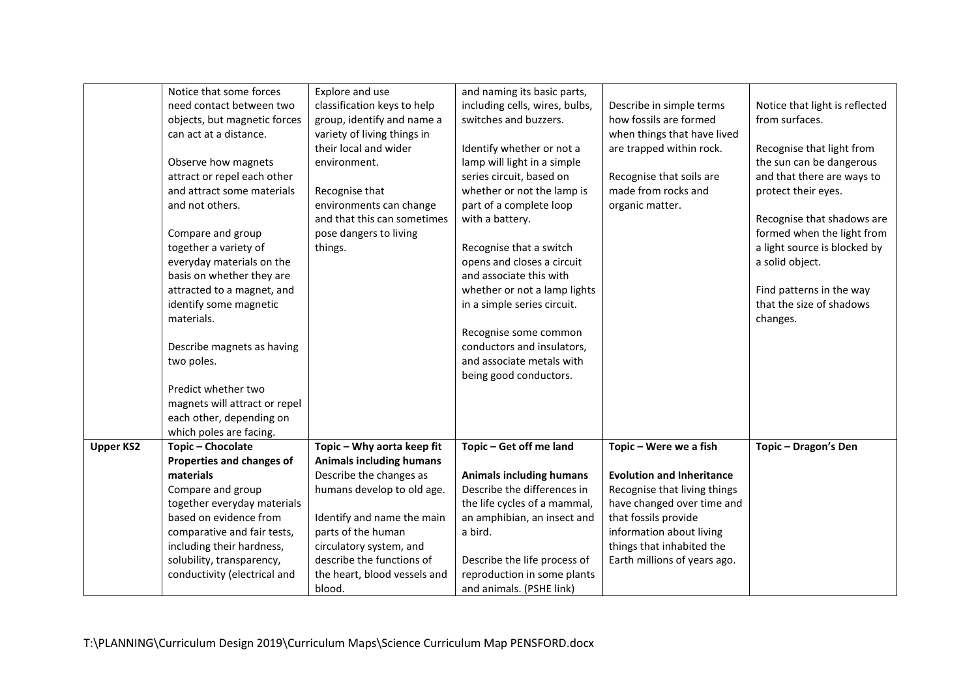|                  | Notice that some forces       | Explore and use                 | and naming its basic parts,     |                                  |                                |
|------------------|-------------------------------|---------------------------------|---------------------------------|----------------------------------|--------------------------------|
|                  | need contact between two      | classification keys to help     | including cells, wires, bulbs,  | Describe in simple terms         | Notice that light is reflected |
|                  |                               |                                 | switches and buzzers.           | how fossils are formed           | from surfaces.                 |
|                  | objects, but magnetic forces  | group, identify and name a      |                                 |                                  |                                |
|                  | can act at a distance.        | variety of living things in     |                                 | when things that have lived      |                                |
|                  |                               | their local and wider           | Identify whether or not a       | are trapped within rock.         | Recognise that light from      |
|                  | Observe how magnets           | environment.                    | lamp will light in a simple     |                                  | the sun can be dangerous       |
|                  | attract or repel each other   |                                 | series circuit, based on        | Recognise that soils are         | and that there are ways to     |
|                  | and attract some materials    | Recognise that                  | whether or not the lamp is      | made from rocks and              | protect their eyes.            |
|                  | and not others.               | environments can change         | part of a complete loop         | organic matter.                  |                                |
|                  |                               | and that this can sometimes     | with a battery.                 |                                  | Recognise that shadows are     |
|                  | Compare and group             | pose dangers to living          |                                 |                                  | formed when the light from     |
|                  | together a variety of         | things.                         | Recognise that a switch         |                                  | a light source is blocked by   |
|                  | everyday materials on the     |                                 | opens and closes a circuit      |                                  | a solid object.                |
|                  | basis on whether they are     |                                 | and associate this with         |                                  |                                |
|                  | attracted to a magnet, and    |                                 | whether or not a lamp lights    |                                  | Find patterns in the way       |
|                  | identify some magnetic        |                                 | in a simple series circuit.     |                                  | that the size of shadows       |
|                  | materials.                    |                                 |                                 |                                  | changes.                       |
|                  |                               |                                 | Recognise some common           |                                  |                                |
|                  | Describe magnets as having    |                                 | conductors and insulators,      |                                  |                                |
|                  | two poles.                    |                                 | and associate metals with       |                                  |                                |
|                  |                               |                                 | being good conductors.          |                                  |                                |
|                  | Predict whether two           |                                 |                                 |                                  |                                |
|                  | magnets will attract or repel |                                 |                                 |                                  |                                |
|                  | each other, depending on      |                                 |                                 |                                  |                                |
|                  | which poles are facing.       |                                 |                                 |                                  |                                |
| <b>Upper KS2</b> | Topic - Chocolate             | Topic - Why aorta keep fit      | Topic - Get off me land         | Topic - Were we a fish           | Topic - Dragon's Den           |
|                  | Properties and changes of     | <b>Animals including humans</b> |                                 |                                  |                                |
|                  | materials                     | Describe the changes as         | <b>Animals including humans</b> | <b>Evolution and Inheritance</b> |                                |
|                  | Compare and group             | humans develop to old age.      | Describe the differences in     | Recognise that living things     |                                |
|                  | together everyday materials   |                                 | the life cycles of a mammal,    | have changed over time and       |                                |
|                  | based on evidence from        | Identify and name the main      | an amphibian, an insect and     | that fossils provide             |                                |
|                  | comparative and fair tests,   | parts of the human              | a bird.                         | information about living         |                                |
|                  | including their hardness,     | circulatory system, and         |                                 | things that inhabited the        |                                |
|                  | solubility, transparency,     | describe the functions of       | Describe the life process of    | Earth millions of years ago.     |                                |
|                  | conductivity (electrical and  | the heart, blood vessels and    | reproduction in some plants     |                                  |                                |
|                  |                               | blood.                          | and animals. (PSHE link)        |                                  |                                |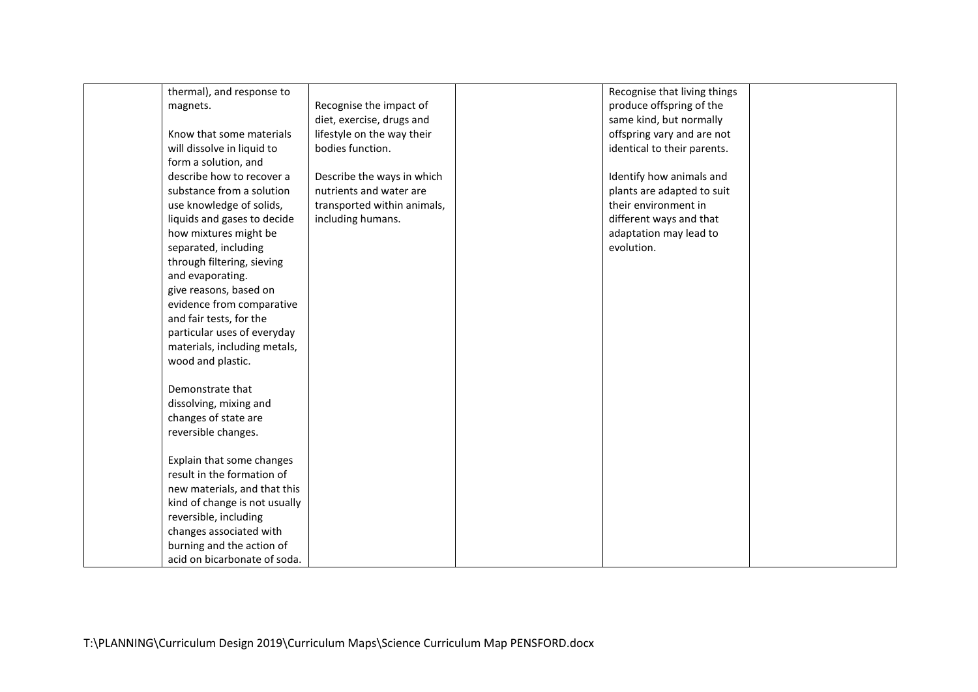| thermal), and response to     |                             | Recognise that living things |  |
|-------------------------------|-----------------------------|------------------------------|--|
| magnets.                      | Recognise the impact of     | produce offspring of the     |  |
|                               | diet, exercise, drugs and   | same kind, but normally      |  |
| Know that some materials      | lifestyle on the way their  | offspring vary and are not   |  |
| will dissolve in liquid to    | bodies function.            | identical to their parents.  |  |
| form a solution, and          |                             |                              |  |
| describe how to recover a     | Describe the ways in which  | Identify how animals and     |  |
| substance from a solution     | nutrients and water are     | plants are adapted to suit   |  |
| use knowledge of solids,      | transported within animals, | their environment in         |  |
| liquids and gases to decide   | including humans.           | different ways and that      |  |
| how mixtures might be         |                             | adaptation may lead to       |  |
| separated, including          |                             | evolution.                   |  |
| through filtering, sieving    |                             |                              |  |
| and evaporating.              |                             |                              |  |
| give reasons, based on        |                             |                              |  |
| evidence from comparative     |                             |                              |  |
| and fair tests, for the       |                             |                              |  |
| particular uses of everyday   |                             |                              |  |
| materials, including metals,  |                             |                              |  |
| wood and plastic.             |                             |                              |  |
|                               |                             |                              |  |
| Demonstrate that              |                             |                              |  |
| dissolving, mixing and        |                             |                              |  |
| changes of state are          |                             |                              |  |
| reversible changes.           |                             |                              |  |
|                               |                             |                              |  |
| Explain that some changes     |                             |                              |  |
| result in the formation of    |                             |                              |  |
| new materials, and that this  |                             |                              |  |
| kind of change is not usually |                             |                              |  |
| reversible, including         |                             |                              |  |
| changes associated with       |                             |                              |  |
| burning and the action of     |                             |                              |  |
| acid on bicarbonate of soda.  |                             |                              |  |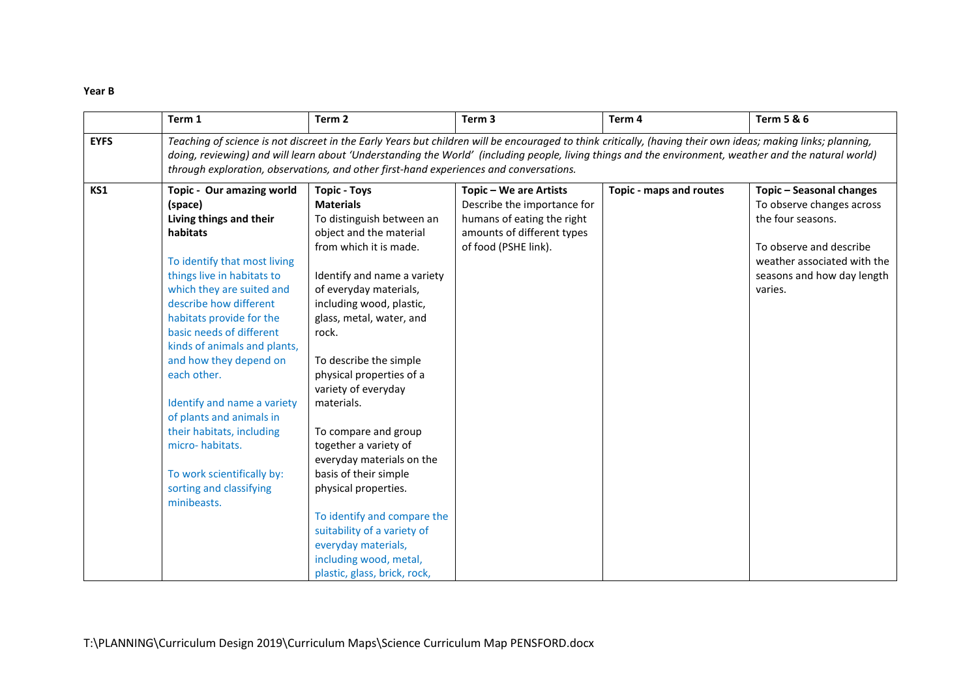#### **Year B**

|             | Term 1                                                                                                                                                                                                                                                                                                                                                                                                                                                                                                               | Term <sub>2</sub>                                                                                                                                                                                                                                                                                                                                                                                                                                                                                                                                                                                                            | Term 3                                                                                                                                    | Term 4                  | <b>Term 5 &amp; 6</b>                                                                                                                                                         |  |
|-------------|----------------------------------------------------------------------------------------------------------------------------------------------------------------------------------------------------------------------------------------------------------------------------------------------------------------------------------------------------------------------------------------------------------------------------------------------------------------------------------------------------------------------|------------------------------------------------------------------------------------------------------------------------------------------------------------------------------------------------------------------------------------------------------------------------------------------------------------------------------------------------------------------------------------------------------------------------------------------------------------------------------------------------------------------------------------------------------------------------------------------------------------------------------|-------------------------------------------------------------------------------------------------------------------------------------------|-------------------------|-------------------------------------------------------------------------------------------------------------------------------------------------------------------------------|--|
| <b>EYFS</b> | Teaching of science is not discreet in the Early Years but children will be encouraged to think critically, (having their own ideas; making links; planning,<br>doing, reviewing) and will learn about 'Understanding the World' (including people, living things and the environment, weather and the natural world)<br>through exploration, observations, and other first-hand experiences and conversations.                                                                                                      |                                                                                                                                                                                                                                                                                                                                                                                                                                                                                                                                                                                                                              |                                                                                                                                           |                         |                                                                                                                                                                               |  |
| KS1         | Topic - Our amazing world<br>(space)<br>Living things and their<br>habitats<br>To identify that most living<br>things live in habitats to<br>which they are suited and<br>describe how different<br>habitats provide for the<br>basic needs of different<br>kinds of animals and plants,<br>and how they depend on<br>each other.<br>Identify and name a variety<br>of plants and animals in<br>their habitats, including<br>micro-habitats.<br>To work scientifically by:<br>sorting and classifying<br>minibeasts. | <b>Topic - Toys</b><br><b>Materials</b><br>To distinguish between an<br>object and the material<br>from which it is made.<br>Identify and name a variety<br>of everyday materials,<br>including wood, plastic,<br>glass, metal, water, and<br>rock.<br>To describe the simple<br>physical properties of a<br>variety of everyday<br>materials.<br>To compare and group<br>together a variety of<br>everyday materials on the<br>basis of their simple<br>physical properties.<br>To identify and compare the<br>suitability of a variety of<br>everyday materials,<br>including wood, metal,<br>plastic, glass, brick, rock, | Topic - We are Artists<br>Describe the importance for<br>humans of eating the right<br>amounts of different types<br>of food (PSHE link). | Topic - maps and routes | Topic - Seasonal changes<br>To observe changes across<br>the four seasons.<br>To observe and describe<br>weather associated with the<br>seasons and how day length<br>varies. |  |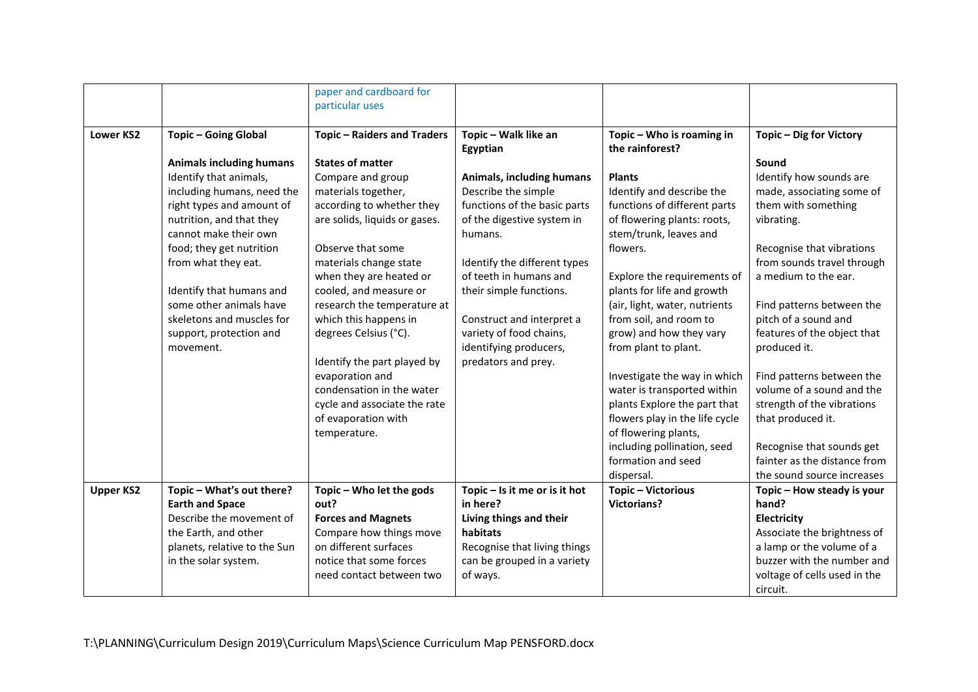|                  |                                 | paper and cardboard for            |                               |                                |                              |
|------------------|---------------------------------|------------------------------------|-------------------------------|--------------------------------|------------------------------|
|                  |                                 | particular uses                    |                               |                                |                              |
|                  |                                 |                                    |                               |                                |                              |
| <b>Lower KS2</b> | <b>Topic - Going Global</b>     | <b>Topic - Raiders and Traders</b> | Topic - Walk like an          | Topic - Who is roaming in      | Topic - Dig for Victory      |
|                  |                                 |                                    | Egyptian                      | the rainforest?                |                              |
|                  | <b>Animals including humans</b> | <b>States of matter</b>            |                               |                                | Sound                        |
|                  | Identify that animals,          | Compare and group                  | Animals, including humans     | <b>Plants</b>                  | Identify how sounds are      |
|                  | including humans, need the      | materials together,                | Describe the simple           | Identify and describe the      | made, associating some of    |
|                  | right types and amount of       | according to whether they          | functions of the basic parts  | functions of different parts   | them with something          |
|                  | nutrition, and that they        | are solids, liquids or gases.      | of the digestive system in    | of flowering plants: roots,    | vibrating.                   |
|                  | cannot make their own           |                                    | humans.                       | stem/trunk, leaves and         |                              |
|                  | food; they get nutrition        | Observe that some                  |                               | flowers.                       | Recognise that vibrations    |
|                  | from what they eat.             | materials change state             | Identify the different types  |                                | from sounds travel through   |
|                  |                                 | when they are heated or            | of teeth in humans and        | Explore the requirements of    | a medium to the ear.         |
|                  | Identify that humans and        | cooled, and measure or             | their simple functions.       | plants for life and growth     |                              |
|                  | some other animals have         | research the temperature at        |                               | (air, light, water, nutrients  | Find patterns between the    |
|                  | skeletons and muscles for       | which this happens in              | Construct and interpret a     | from soil, and room to         | pitch of a sound and         |
|                  | support, protection and         | degrees Celsius (°C).              | variety of food chains,       | grow) and how they vary        | features of the object that  |
|                  | movement.                       |                                    | identifying producers,        | from plant to plant.           | produced it.                 |
|                  |                                 | Identify the part played by        | predators and prey.           |                                |                              |
|                  |                                 | evaporation and                    |                               | Investigate the way in which   | Find patterns between the    |
|                  |                                 | condensation in the water          |                               | water is transported within    | volume of a sound and the    |
|                  |                                 | cycle and associate the rate       |                               | plants Explore the part that   | strength of the vibrations   |
|                  |                                 | of evaporation with                |                               | flowers play in the life cycle | that produced it.            |
|                  |                                 | temperature.                       |                               | of flowering plants,           |                              |
|                  |                                 |                                    |                               | including pollination, seed    | Recognise that sounds get    |
|                  |                                 |                                    |                               | formation and seed             | fainter as the distance from |
|                  |                                 |                                    |                               | dispersal.                     | the sound source increases   |
| <b>Upper KS2</b> | Topic - What's out there?       | Topic - Who let the gods           | Topic - Is it me or is it hot | <b>Topic-Victorious</b>        | Topic - How steady is your   |
|                  | <b>Earth and Space</b>          | out?                               | in here?                      | <b>Victorians?</b>             | hand?                        |
|                  | Describe the movement of        | <b>Forces and Magnets</b>          | Living things and their       |                                | Electricity                  |
|                  | the Earth, and other            | Compare how things move            | habitats                      |                                | Associate the brightness of  |
|                  | planets, relative to the Sun    | on different surfaces              | Recognise that living things  |                                | a lamp or the volume of a    |
|                  | in the solar system.            | notice that some forces            | can be grouped in a variety   |                                | buzzer with the number and   |
|                  |                                 | need contact between two           | of ways.                      |                                | voltage of cells used in the |
|                  |                                 |                                    |                               |                                | circuit.                     |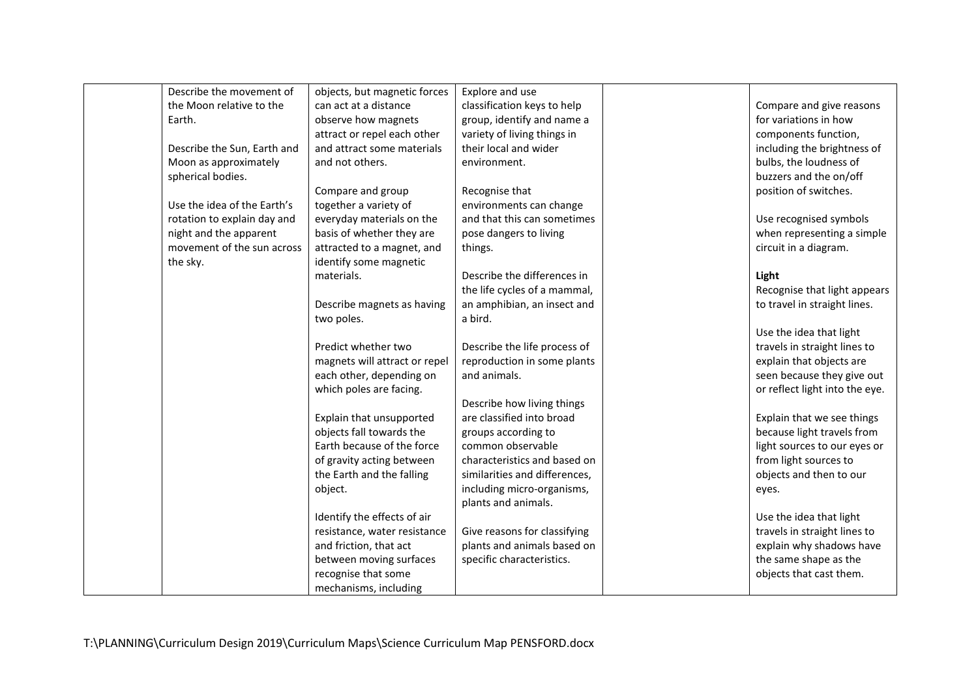| Describe the movement of    | objects, but magnetic forces                                                                                                                                                                                                                                                                  | Explore and use                                                                                                                                                                                       |                                                                                                                                                                                                                                                                                                |
|-----------------------------|-----------------------------------------------------------------------------------------------------------------------------------------------------------------------------------------------------------------------------------------------------------------------------------------------|-------------------------------------------------------------------------------------------------------------------------------------------------------------------------------------------------------|------------------------------------------------------------------------------------------------------------------------------------------------------------------------------------------------------------------------------------------------------------------------------------------------|
| the Moon relative to the    | can act at a distance                                                                                                                                                                                                                                                                         | classification keys to help                                                                                                                                                                           | Compare and give reasons                                                                                                                                                                                                                                                                       |
| Earth.                      | observe how magnets                                                                                                                                                                                                                                                                           | group, identify and name a                                                                                                                                                                            | for variations in how                                                                                                                                                                                                                                                                          |
|                             | attract or repel each other                                                                                                                                                                                                                                                                   | variety of living things in                                                                                                                                                                           | components function,                                                                                                                                                                                                                                                                           |
| Describe the Sun, Earth and | and attract some materials                                                                                                                                                                                                                                                                    | their local and wider                                                                                                                                                                                 | including the brightness of                                                                                                                                                                                                                                                                    |
| Moon as approximately       | and not others.                                                                                                                                                                                                                                                                               | environment.                                                                                                                                                                                          | bulbs, the loudness of                                                                                                                                                                                                                                                                         |
| spherical bodies.           |                                                                                                                                                                                                                                                                                               |                                                                                                                                                                                                       | buzzers and the on/off                                                                                                                                                                                                                                                                         |
|                             | Compare and group                                                                                                                                                                                                                                                                             | Recognise that                                                                                                                                                                                        | position of switches.                                                                                                                                                                                                                                                                          |
| Use the idea of the Earth's | together a variety of                                                                                                                                                                                                                                                                         | environments can change                                                                                                                                                                               |                                                                                                                                                                                                                                                                                                |
| rotation to explain day and | everyday materials on the                                                                                                                                                                                                                                                                     | and that this can sometimes                                                                                                                                                                           | Use recognised symbols                                                                                                                                                                                                                                                                         |
| night and the apparent      | basis of whether they are                                                                                                                                                                                                                                                                     | pose dangers to living                                                                                                                                                                                | when representing a simple                                                                                                                                                                                                                                                                     |
| movement of the sun across  | attracted to a magnet, and                                                                                                                                                                                                                                                                    | things.                                                                                                                                                                                               | circuit in a diagram.                                                                                                                                                                                                                                                                          |
| the sky.                    | identify some magnetic                                                                                                                                                                                                                                                                        |                                                                                                                                                                                                       |                                                                                                                                                                                                                                                                                                |
|                             | materials.                                                                                                                                                                                                                                                                                    | Describe the differences in                                                                                                                                                                           | Light                                                                                                                                                                                                                                                                                          |
|                             |                                                                                                                                                                                                                                                                                               | the life cycles of a mammal,                                                                                                                                                                          | Recognise that light appears                                                                                                                                                                                                                                                                   |
|                             | Describe magnets as having                                                                                                                                                                                                                                                                    | an amphibian, an insect and                                                                                                                                                                           | to travel in straight lines.                                                                                                                                                                                                                                                                   |
|                             | two poles.                                                                                                                                                                                                                                                                                    | a bird.                                                                                                                                                                                               |                                                                                                                                                                                                                                                                                                |
|                             |                                                                                                                                                                                                                                                                                               |                                                                                                                                                                                                       | Use the idea that light                                                                                                                                                                                                                                                                        |
|                             | Predict whether two                                                                                                                                                                                                                                                                           | Describe the life process of                                                                                                                                                                          | travels in straight lines to                                                                                                                                                                                                                                                                   |
|                             | magnets will attract or repel                                                                                                                                                                                                                                                                 | reproduction in some plants                                                                                                                                                                           | explain that objects are                                                                                                                                                                                                                                                                       |
|                             |                                                                                                                                                                                                                                                                                               | and animals.                                                                                                                                                                                          |                                                                                                                                                                                                                                                                                                |
|                             | which poles are facing.                                                                                                                                                                                                                                                                       |                                                                                                                                                                                                       | or reflect light into the eye.                                                                                                                                                                                                                                                                 |
|                             |                                                                                                                                                                                                                                                                                               | Describe how living things                                                                                                                                                                            |                                                                                                                                                                                                                                                                                                |
|                             |                                                                                                                                                                                                                                                                                               | are classified into broad                                                                                                                                                                             |                                                                                                                                                                                                                                                                                                |
|                             | objects fall towards the                                                                                                                                                                                                                                                                      |                                                                                                                                                                                                       |                                                                                                                                                                                                                                                                                                |
|                             | Earth because of the force                                                                                                                                                                                                                                                                    | common observable                                                                                                                                                                                     | light sources to our eyes or                                                                                                                                                                                                                                                                   |
|                             |                                                                                                                                                                                                                                                                                               | characteristics and based on                                                                                                                                                                          |                                                                                                                                                                                                                                                                                                |
|                             |                                                                                                                                                                                                                                                                                               |                                                                                                                                                                                                       |                                                                                                                                                                                                                                                                                                |
|                             |                                                                                                                                                                                                                                                                                               |                                                                                                                                                                                                       |                                                                                                                                                                                                                                                                                                |
|                             |                                                                                                                                                                                                                                                                                               |                                                                                                                                                                                                       |                                                                                                                                                                                                                                                                                                |
|                             |                                                                                                                                                                                                                                                                                               |                                                                                                                                                                                                       |                                                                                                                                                                                                                                                                                                |
|                             |                                                                                                                                                                                                                                                                                               |                                                                                                                                                                                                       |                                                                                                                                                                                                                                                                                                |
|                             |                                                                                                                                                                                                                                                                                               |                                                                                                                                                                                                       |                                                                                                                                                                                                                                                                                                |
|                             |                                                                                                                                                                                                                                                                                               |                                                                                                                                                                                                       |                                                                                                                                                                                                                                                                                                |
|                             |                                                                                                                                                                                                                                                                                               |                                                                                                                                                                                                       |                                                                                                                                                                                                                                                                                                |
|                             |                                                                                                                                                                                                                                                                                               |                                                                                                                                                                                                       |                                                                                                                                                                                                                                                                                                |
|                             | each other, depending on<br>Explain that unsupported<br>of gravity acting between<br>the Earth and the falling<br>object.<br>Identify the effects of air<br>resistance, water resistance<br>and friction, that act<br>between moving surfaces<br>recognise that some<br>mechanisms, including | groups according to<br>similarities and differences,<br>including micro-organisms,<br>plants and animals.<br>Give reasons for classifying<br>plants and animals based on<br>specific characteristics. | seen because they give out<br>Explain that we see things<br>because light travels from<br>from light sources to<br>objects and then to our<br>eyes.<br>Use the idea that light<br>travels in straight lines to<br>explain why shadows have<br>the same shape as the<br>objects that cast them. |